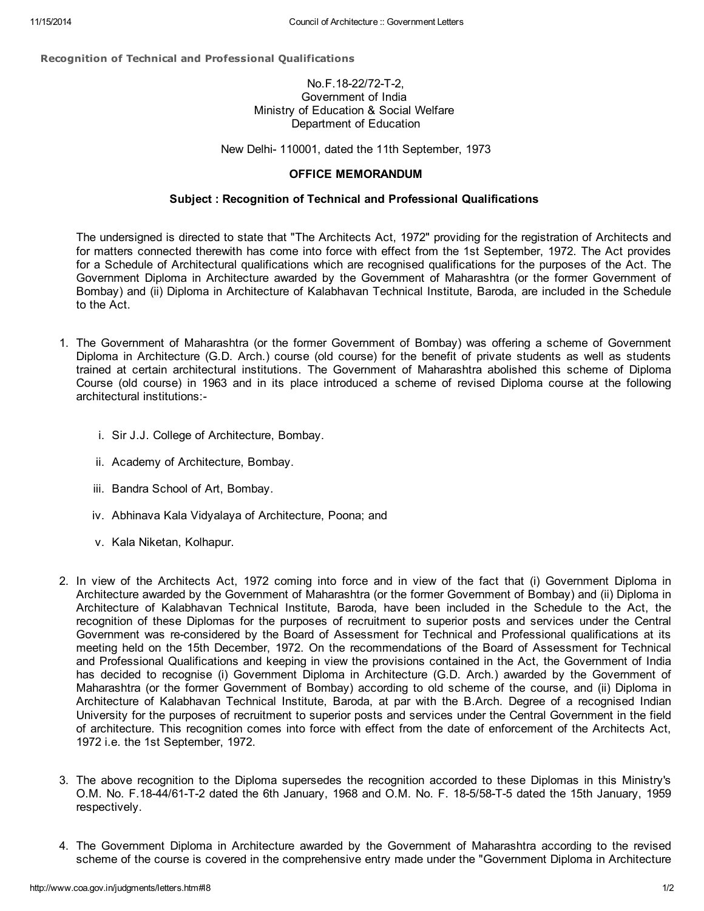Recognition of Technical and Professional Qualifications

## No.F.18-22/72-T-2, Government of India Ministry of Education & Social Welfare Department of Education

New Delhi- 110001, dated the 11th September, 1973

## OFFICE MEMORANDUM

## Subject : Recognition of Technical and Professional Qualifications

The undersigned is directed to state that "The Architects Act, 1972" providing for the registration of Architects and for matters connected therewith has come into force with effect from the 1st September, 1972. The Act provides for a Schedule of Architectural qualifications which are recognised qualifications for the purposes of the Act. The Government Diploma in Architecture awarded by the Government of Maharashtra (or the former Government of Bombay) and (ii) Diploma in Architecture of Kalabhavan Technical Institute, Baroda, are included in the Schedule to the Act.

- 1. The Government of Maharashtra (or the former Government of Bombay) was offering a scheme of Government Diploma in Architecture (G.D. Arch.) course (old course) for the benefit of private students as well as students trained at certain architectural institutions. The Government of Maharashtra abolished this scheme of Diploma Course (old course) in 1963 and in its place introduced a scheme of revised Diploma course at the following architectural institutions:
	- i. Sir J.J. College of Architecture, Bombay.
	- ii. Academy of Architecture, Bombay.
	- iii. Bandra School of Art, Bombay.
	- iv. Abhinava Kala Vidyalaya of Architecture, Poona; and
	- v. Kala Niketan, Kolhapur.
- 2. In view of the Architects Act, 1972 coming into force and in view of the fact that (i) Government Diploma in Architecture awarded by the Government of Maharashtra (or the former Government of Bombay) and (ii) Diploma in Architecture of Kalabhavan Technical Institute, Baroda, have been included in the Schedule to the Act, the recognition of these Diplomas for the purposes of recruitment to superior posts and services under the Central Government was re-considered by the Board of Assessment for Technical and Professional qualifications at its meeting held on the 15th December, 1972. On the recommendations of the Board of Assessment for Technical and Professional Qualifications and keeping in view the provisions contained in the Act, the Government of India has decided to recognise (i) Government Diploma in Architecture (G.D. Arch.) awarded by the Government of Maharashtra (or the former Government of Bombay) according to old scheme of the course, and (ii) Diploma in Architecture of Kalabhavan Technical Institute, Baroda, at par with the B.Arch. Degree of a recognised Indian University for the purposes of recruitment to superior posts and services under the Central Government in the field of architecture. This recognition comes into force with effect from the date of enforcement of the Architects Act, 1972 i.e. the 1st September, 1972.
- 3. The above recognition to the Diploma supersedes the recognition accorded to these Diplomas in this Ministry's O.M. No. F.18-44/61-T-2 dated the 6th January, 1968 and O.M. No. F. 18-5/58-T-5 dated the 15th January, 1959 respectively.
- 4. The Government Diploma in Architecture awarded by the Government of Maharashtra according to the revised scheme of the course is covered in the comprehensive entry made under the "Government Diploma in Architecture